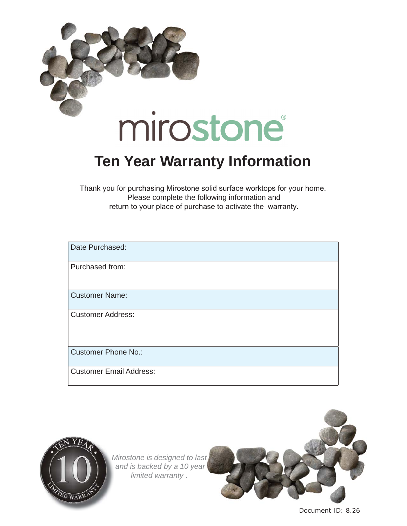

# **Ten Year Warranty Information**

Thank you for purchasing Mirostone solid surface worktops for your home. Please complete the following information and return to your place of purchase to activate the warranty.

| Date Purchased:                |
|--------------------------------|
| Purchased from:                |
| <b>Customer Name:</b>          |
| <b>Customer Address:</b>       |
| <b>Customer Phone No.:</b>     |
| <b>Customer Email Address:</b> |



*Mirostone is designed to last and is backed by a 10 year limited warranty .*



Document ID: 8.26